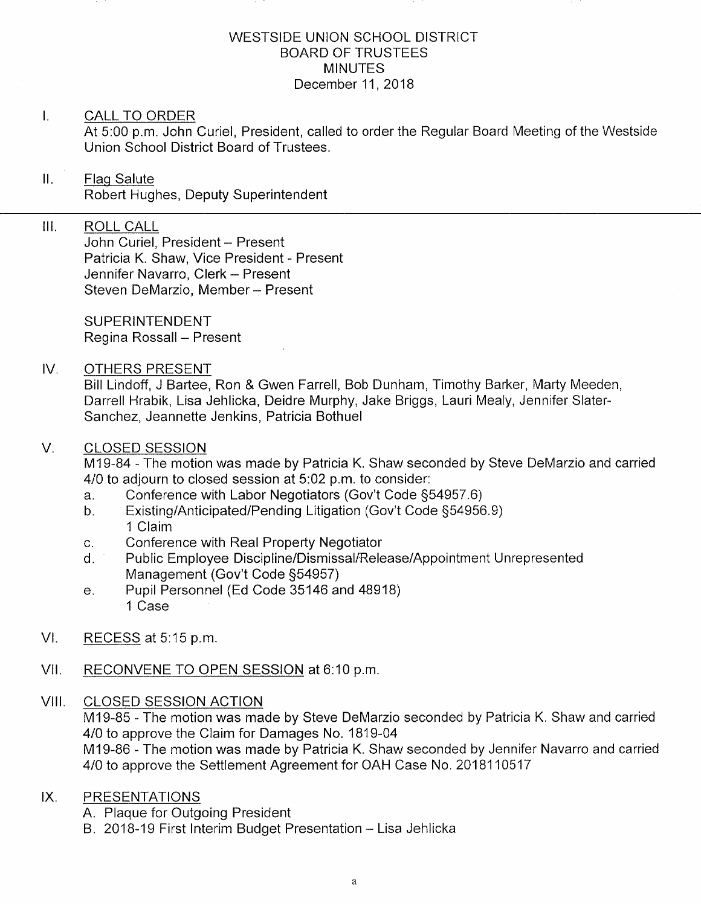### WESTSIDE UNION SCHOOL DISTRICT BOARD OF TRUSTEES MINUTES December 11, 2018

### $\mathbf{L}$ CALL TO ORDER

At 5:00 p.m. John Curiel, President, called to order the Regular Board Meeting of the Westside Union School District Board of Trustees.

### $\mathbf{II}$ . Flaq Salute Robert Hughes, Deputy Superintendent

## III. ROLL CALL

John Curiel, President - Present Patricia K. Shaw, Vice President - Present Jennifer Navarro, Clerk - Present Steven DeMarzio, Member - Present

SUPERINTENDENT Regina Rossall - Present

### IV OTHERS PRESENT

Bill Lindoff, J Bartee, Ron & Gwen Farrell, Bob Dunham, Timothy Barker, Marty Meeden, Darrell Hrabik, Lisa Jehlicka, Deidre Murphy, Jake Briggs, Lauri Mealy, Jennifer Slater-Sanchez, Jeannette Jenkins, Patricia Bothuel

### V. CLOSED SESSION

M19-84 - The motion was made by Patricia K. Shaw seconded by Steve DeMarzio and carried 4/0 to adjourn to closed session at 5:02 p.m. to consider:<br>a. Conference with Labor Negotiators (Gov't Code §54957.6)

- 
- a. Conference with Labor Negotiators (Gov't Code §54957.6)<br>b. Existing/Anticipated/Pending Litigation (Gov't Code §54956.9) 1 Claim
- 
- c. Conference with Real Property Negotiator<br>d. Public Employee Discipline/Dismissal/Release/Appointment Unrepresented<br>Management (Gov't Code §54957)
- e. Pupil Personnel (Ed Code 35146 and 48918) 1 Case
- Vl. RECESS at 5:15 p.m
- VII. RECONVENE TO OPEN SESSION at 6:10 p.m.

## VIII, CLOSED SESSION ACTION

M19-85 - The motion was made by Steve DeMarzio seconded by Patricia K. Shaw and carried 4/0 to approve the Claim for Damages No. 1819-04 M19-86 - The motion was made by Patricia K. Shaw seconded by Jennifer Navarro and carried 4/0 to approve the Settlement Agreement for OAH Case No, 2018110517

### PRESENTATIONS  $IX.$

- A. Plaque for Outgoing President
- B. 2018-19 First Interim Budget Presentation Lisa Jehlicka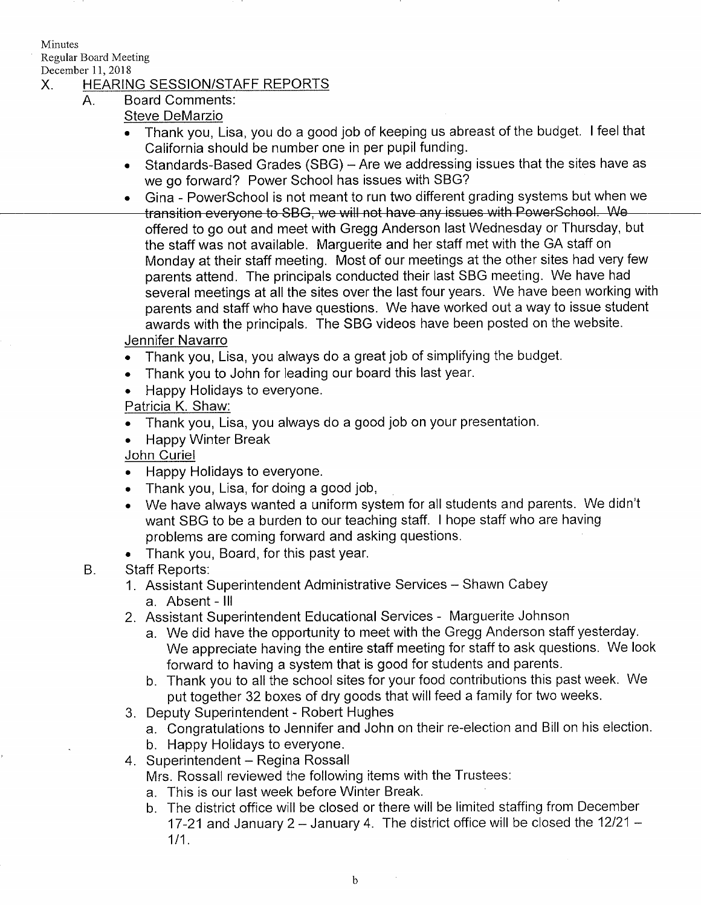Minutes Regular Board Meeting

# X. HEARING SESSION/STAFF REPORTS<br>A. Board Comments:

- - Steve DeMarzio
	- Thank you, Lisa, you do a good job of keeping us abreast of the budget. I feel that California should be number one in per pupil funding.
	- Standards-Based Grades (SBG) Are we addressing issues that the sites have as we go forward? Power School has issues with SBG?
	- Gina PowerSchool is not meant to run two different grading systems but when we<br>transition everyone to SBG, we will not have any issues with PowerSchool. We offered to go out and meet with Gregg Anderson last Wednesday or Thursday, but the staff was not available. Marguerite and her staff met with the GA staff on Monday at iheir staff meeting. Most of our meetings at the other sites had very few parents attend. The principals conducted their last SBG meeting. We have had several meetings at all the sites over the last four years. We have been working with parents and staff who have questions. We have worked out a way to issue student awards with the principals. The SBG videos have been posted on the website.
	- Jennifer Navarro
	- Thank you, Lisa, you always do a great job of simplifying the budget.
	- . Thank you to John for leading our board this last year.
	- . Happy Holidays to everyone.

Patricia K. Shaw:

- . Thank you, Lisa, you always do a good job on your presentation.
- Happy Winter Break

John Curiel

- . Happy Holidays to everyone.
- $\bullet$  Thank you, Lisa, for doing a good job,
- . We have always wanted a uniform system for aìl students and parents. We didn't want SBG to be a burden to our teaching staff. I hope staff who are having problems are coming forward and asking questions,
- . Thank you, Board, for this past year.

### B, Staff Reports:

- 1. Assistant Superintendent Administrative Services Shawn Cabey a. Absent - lll
- 2. Assistant Superintendent Educational Services Marguerite Johnson
	- a. We did have the opportunity to meet with the Gregg Anderson staff yesterday. We appreciate having the entire staff meeting for staff to ask questions. We look forward to having a system that is good for students and parents.
- b. Thank you to all the school sites for your food contributions this past week. We put together 32 boxes of dry goods that will feed a family for two weeks, 3. Deputy Superiniendent - Robert Hughes
- 
- a. Congratulations to Jennifer and John on their re-election and Bill on his election. b. Happy Holidays to everyone. 4. Superintendent Regina Rossall
	-
- - Mrs. Rossall reviewed the following items with the Trustees:
	- a. This is our last week before Winter Break.
	- b. The district office will be closed or there will be limited staffing from December 17-21 and January 2 – January 4. The district office will be closed the 12/21 – 1/1.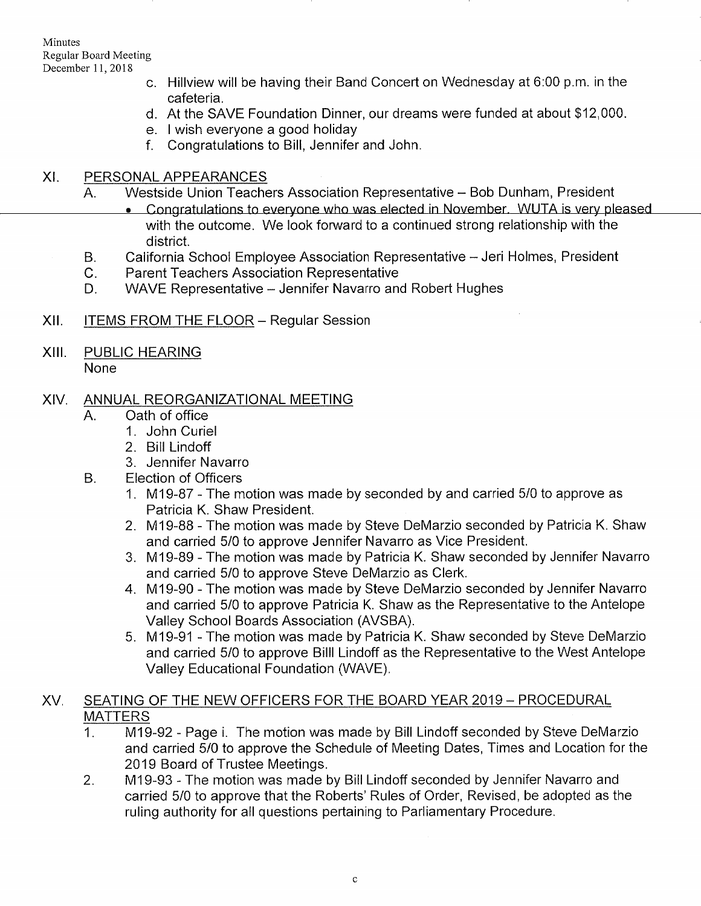Minutes Regular Board Meeting December 11, 2018

- c. Hillview will be having their Band Concert on Wednesday at 6:00 p.m. in the cafeteria.
- d. At the SAVE Foundation Dinner, our dreams were funded at about \$12,000.
- 
- f. Congratulations to Bill, Jennifer and John.

- XI. PERSONAL APPEARANCES<br>A. Westside Union Teachers Association Representative -- Bob Dunham, President<br>Congratulations to everyone who was elected in November. WUTA is very pleased
	- with the outcome. We look forward to a continued strong relationship with the district.
	- B. California School Employee Association Representative - Jeri Holmes, President
	- c. Parent Teachers Association Representative
	- D. WAVE Representative - Jennifer Navarro and Robert Hughes
- xil. ITEMS FROM THE FLOOR - Regular Session
- XIII PUBLIC HEARING

None

# XIV. ANNUAL REORGANIZATIONAL MEETING A. Oath of office

- - 1. John Curiel
	- 2. Bill Lindoff
- 3. Jennifer Navarro B. Election of Officers
	- - <sup>1</sup>. M'19-87 The motion was made by seconded by and carried 5/0 to approve as Patricia K. Shaw President.
		- 2. M19-88 The motion was made by Steve DeMarzio seconded by Patricia K. Shaw and carried 5/0 to approve Jennifer Navarro as Vice President.
		- 3. M19-Bg The motion was made by Patricia K. Shaw seconded by Jennifer Navarro
		- 4. M19-90 The motion was made by Steve DeMarzio seconded by Jennifer Navarro and carried 5/0 to approve Patricia K. Shaw as the Representative to the Antelope
		- 5. M19-91 The motion was made by Patricia K. Shaw seconded by Steve DeMarzio and carried 5/0 to approve Billl Lindoff as the Representative to the West Antelope Valley Educational Foundation (WAVE)

## XV, SEATING OF THE NEW OFFICERS FOR THE BOARD YEAR 2019 - PROCEDURAL MATTERS

- 1. M 19-92 Page i. The motion was made by Bill Lindoff seconded by Steve DeMarzio and carried 5/0 to approve the Schedule of Meeting Dates, Times and Location for the 2019 Board of Trustee Meetings.<br>2. M19-93 - The motion was made by Bill Lindoff seconded by Jennifer Navarro and
- carried 5/0 to approve that the Roberts' Rules of Order, Revised, be adopted as the ruling authority for all questions pertaining to Parliamentary Procedure,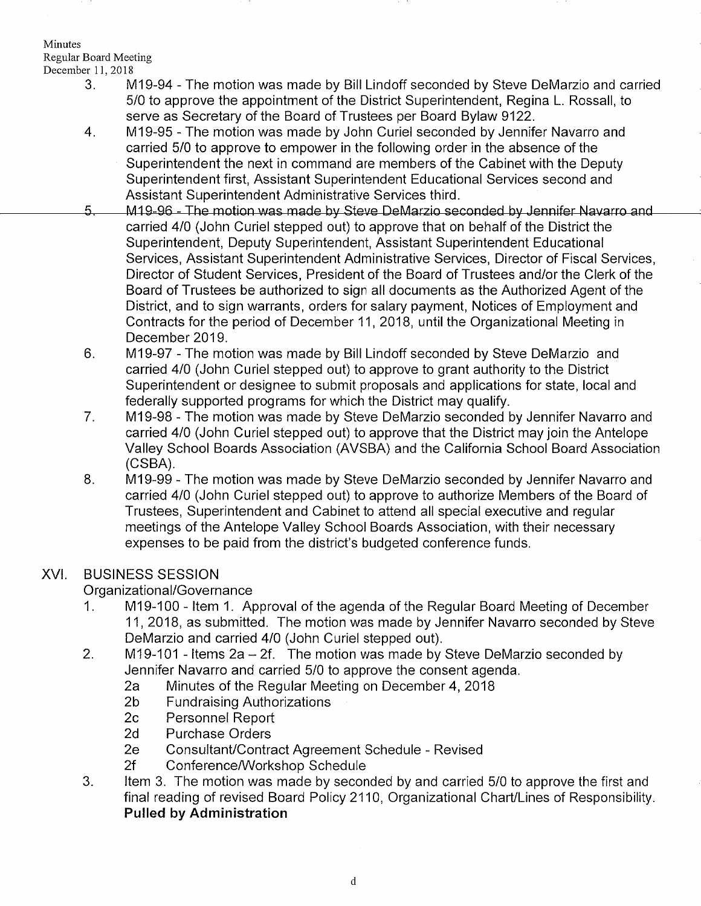## Minutes Regular Board Meeting<br>December 11, 2018

- 3. M19-94 The motion was made by Bill Lindoff seconded by Steve DeMarzio and carried 5/0 to approve the appointment of the District Superintendent, Regina L. Rossall, to serve as Secretary of the Board of Trustees per Board Bylaw 9122.
- 4. M19-95 The motion was made by John Curiel seconded by Jennifer Navarro and carried 5/0 to approve to empower in the following order in the absence of the Superintendent the next in command are members of the Cabinet with the Deputy Superintendent first, Assistant Superintendent Educational Services second and
- Assistant Superintendent Administrative Services third.<br>M19-96 The motion was made by Steve DeMarzio seconded by Jennifer Navarro and 5. carried 410 (John Curiel stepped out) to approve that on behalf of the District the Superintendent, Deputy Superintendent, Assistant Superintendent Educational Services, Assistant Superintendent Administrative Services, Director of Fiscal Services, Director of Student Services, President of the Board of Trustees and/or the Clerk of the Board of Trustees be authorized to sign all documents as the Authorized Agent of the District, and to sign warrants, orders for salary payment, Notices of Employment and Contracts for the period of December 11,2018, until the Organizational Meeting in December 2019.
- M19-97 The motion was made by Bill Lindoff seconded by Steve DeMarzio and carried 410 (John Curiel stepped out) to approve to grant authority to the District Superintendent or designee to submit proposals and applications for state, local and federally supported programs for which the District may qualify.  $6.$
- M19-98 The motion was made by Steve DeMarzio seconded by Jennifer Navarro and carried 410 (John Curiel stepped out) to approve that the District may join the Antelope Valley School Boards Association (AVSBA) and the California School Board Association (csBA). 7
- M19-99 The motion was made by Steve DeMarzio seconded by Jennifer Navarro and carried 410 (John Curiel stepped out) to approve to authorize Members of the Board of Trustees, Superintendent and Cabinet to attend all special executive and regular meetings of the Antelope Valley School Boards Association, with their necessary expenses to be paid from the district's budgeted conference funds. ö

## XVI, BUSINESS SESSION

- Organizational/Governance<br>1. M19-100 Item 1. Approval of the agenda of the Regular Board Meeting of December 11, 2018, as submitted. The motion was made by Jennifer Navarro seconded by Steve DeMarzio and carried 4/0 (John Curiel stepped out).
- 2. M19-101 Items 2a 2f. The motion was made by Steve DeMarzio seconded by Jennifer Navarro and carried 5/0 to approve the consent agenda.
	- Fundraising Authorization 20 to approve the Regular Meeting on December 4, 2018<br>
	2b Fundraising Authorizations<br>
	2c Personnel Report 2d Purchase Orders
	-
	-
	-
	-
	-
- 2e Consultant/Contract Agreement Schedule Revised<br>2f Conference/Workshop Schedule<br>3. ltem 3. The motion was made by seconded by and carried 5/0 to approve the first and final reading of revised Board Policy 2110, Organizational Chart/Lines of Responsibility. Pulled by Administration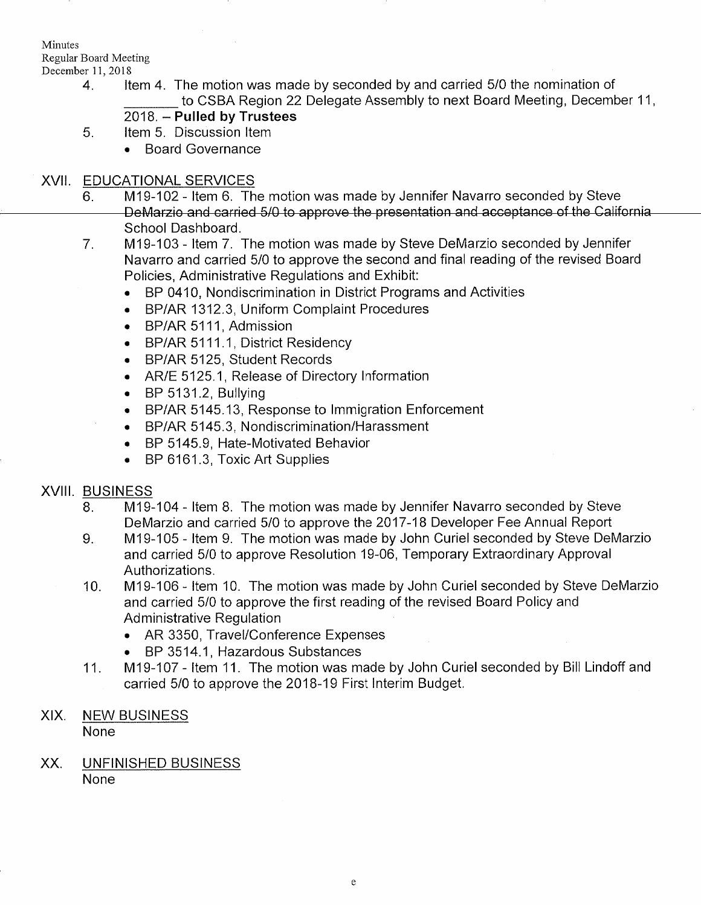## Minutes Regular Board Meeting<br>December 11, 2018

- 4. Item 4. The motion was made by seconded by and carried 5/0 the nomination of to CSBA Region 22 Delegate Assembly to next Board Meeting, December 11,
	- 2018. Pulled by Trustees
- 5. Item 5. Discussion Item
	- . Board Governance

- XVII. EDUCATIONAL SERVICES<br>6. M19-102 Item 6. The motion was made by Jennifer Navarro seconded by Steve<br>DeMarzio and carried 5/0 to approve the presentation and acceptance of the California School Dashboard.
	- M19-103 ltem 7. The motion was made by Steve DeMarzio seconded by Jennifer Navarro and carried 5/0 to approve the second and final reading of the revised Board Policies, Administrative Regulations and Exhibit: 7
		- BP 0410, Nondiscrimination in District Programs and Activities
		- . BP/AR 1312.3, Uniform Complaint Procedures
		- BP/AR 5111, Admission
		- BP/AR 5111.1, District Residency
		- . BP/AR 5125, Student Records
		- . AR/E 5125.1, Release of Directory lnformation
		- . BP 5131.2, Bullying
		- BP/AR 5145.13, Response to Immigration Enforcement
		- BP/AR 5145.3, Nondiscrimination/Harassment
		- . BP 5145.9, Hate-Motivated Behavior
		- BP 6161.3, Toxic Art Supplies

- XVIII. BUSINESS<br>8. M19-104 Item 8. The motion was made by Jennifer Navarro seconded by Steve<br>DeMarzio and carried 5/0 to approve the 2017-18 Developer Fee Annual Report
	- 9. M19-105 Item 9. The motion was made by John Curiel seconded by Steve DeMarzio and carried 5/0 to approve Resolution 19-06, Temporary Extraordinary Approval Authorizations.
	- 10. M19-106 ltem 10. The motion was made by John Curiel seconded by Steve DeMarzio and carried 5/0 to approve the first reading of the revlsed Board Policy and Administrative Regulation
		- . AR 3350, Travel/Conference Expenses
		-
	- BP 3514.1, Hazardous Substances 11. M19-107 ltem 11. The motion was made by John Curiel seconded by Bill Lindoff and carried 5/0 to approve the 2018-19 First Interim Budget.

# XIX. NEW BUSINESS

None

XX. UNFINISHED BUSINESS None